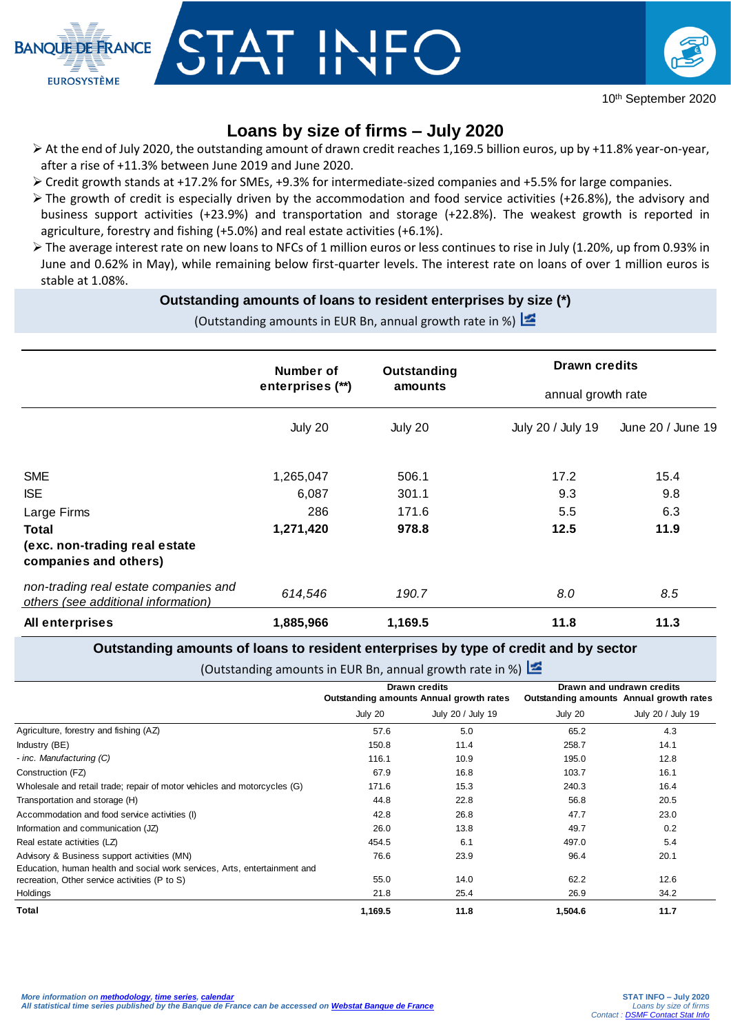

# CTAT INII<br>UIAI IINI



## **Loans by size of firms – July 2020**

- At the end of July 2020, the outstanding amount of drawn credit reaches 1,169.5 billion euros, up by +11.8% year-on-year, after a rise of +11.3% between June 2019 and June 2020.
- Credit growth stands at +17.2% for SMEs, +9.3% for intermediate-sized companies and +5.5% for large companies.
- The growth of credit is especially driven by the accommodation and food service activities (+26.8%), the advisory and business support activities (+23.9%) and transportation and storage (+22.8%). The weakest growth is reported in agriculture, forestry and fishing (+5.0%) and real estate activities (+6.1%).
- $\triangleright$  The average interest rate on new loans to NFCs of 1 million euros or less continues to rise in July (1.20%, up from 0.93% in June and 0.62% in May), while remaining below first-quarter levels. The interest rate on loans of over 1 million euros is stable at 1.08%.

## **Outstanding amounts of loans to resident enterprises by size (\*)**

(Outstanding amounts in EUR Bn, annual growth rate in %)

|                                                                              | Number of<br>enterprises (**)<br>July 20 | Outstanding<br>amounts<br>July 20 | <b>Drawn credits</b><br>annual growth rate |                   |
|------------------------------------------------------------------------------|------------------------------------------|-----------------------------------|--------------------------------------------|-------------------|
|                                                                              |                                          |                                   |                                            |                   |
|                                                                              |                                          |                                   | July 20 / July 19                          | June 20 / June 19 |
| <b>SME</b>                                                                   | 1,265,047                                | 506.1                             | 17.2                                       | 15.4              |
| <b>ISE</b>                                                                   | 6,087                                    | 301.1                             | 9.3                                        | 9.8               |
| Large Firms                                                                  | 286                                      | 171.6                             | 5.5                                        | 6.3               |
| Total                                                                        | 1,271,420                                | 978.8                             | 12.5                                       | 11.9              |
| (exc. non-trading real estate<br>companies and others)                       |                                          |                                   |                                            |                   |
| non-trading real estate companies and<br>others (see additional information) | 614,546                                  | 190.7                             | 8.0                                        | 8.5               |
| All enterprises                                                              | 1,885,966                                | 1,169.5                           | 11.8                                       | 11.3              |

### **Outstanding amounts of loans to resident enterprises by type of credit and by sector**

(Outstanding amounts in EUR Bn, annual growth rate in %)

|                                                                           | Drawn credits<br>Outstanding amounts Annual growth rates |                   | Drawn and undrawn credits<br>Outstanding amounts Annual growth rates |                   |  |  |  |
|---------------------------------------------------------------------------|----------------------------------------------------------|-------------------|----------------------------------------------------------------------|-------------------|--|--|--|
|                                                                           |                                                          |                   |                                                                      |                   |  |  |  |
|                                                                           | July 20                                                  | July 20 / July 19 | July 20                                                              | July 20 / July 19 |  |  |  |
| Agriculture, forestry and fishing (AZ)                                    | 57.6                                                     | 5.0               | 65.2                                                                 | 4.3               |  |  |  |
| Industry (BE)                                                             | 150.8                                                    | 11.4              | 258.7                                                                | 14.1              |  |  |  |
| - inc. Manufacturing (C)                                                  | 116.1                                                    | 10.9              | 195.0                                                                | 12.8              |  |  |  |
| Construction (FZ)                                                         | 67.9                                                     | 16.8              | 103.7                                                                | 16.1              |  |  |  |
| Wholesale and retail trade; repair of motor vehicles and motorcycles (G)  | 171.6                                                    | 15.3              | 240.3                                                                | 16.4              |  |  |  |
| Transportation and storage (H)                                            | 44.8                                                     | 22.8              | 56.8                                                                 | 20.5              |  |  |  |
| Accommodation and food service activities (I)                             | 42.8                                                     | 26.8              | 47.7                                                                 | 23.0              |  |  |  |
| Information and communication (JZ)                                        | 26.0                                                     | 13.8              | 49.7                                                                 | 0.2               |  |  |  |
| Real estate activities (LZ)                                               | 454.5                                                    | 6.1               | 497.0                                                                | 5.4               |  |  |  |
| Advisory & Business support activities (MN)                               | 76.6                                                     | 23.9              | 96.4                                                                 | 20.1              |  |  |  |
| Education, human health and social work services, Arts, entertainment and |                                                          |                   |                                                                      |                   |  |  |  |
| recreation, Other service activities (P to S)                             | 55.0                                                     | 14.0              | 62.2                                                                 | 12.6              |  |  |  |
| Holdings                                                                  | 21.8                                                     | 25.4              | 26.9                                                                 | 34.2              |  |  |  |
| Total                                                                     | 1,169.5                                                  | 11.8              | 1,504.6                                                              | 11.7              |  |  |  |